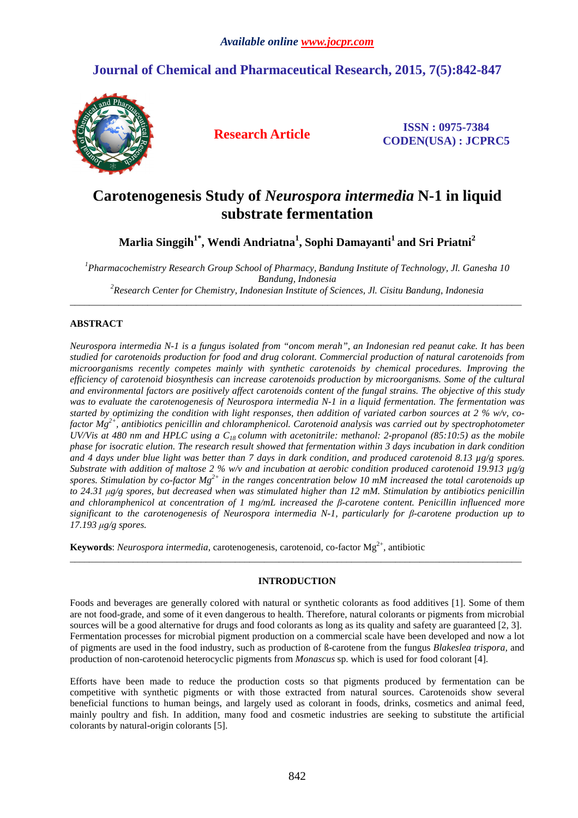## **Journal of Chemical and Pharmaceutical Research, 2015, 7(5):842-847**



**Research Article ISSN : 0975-7384 CODEN(USA) : JCPRC5**

# **Carotenogenesis Study of** *Neurospora intermedia* **N-1 in liquid substrate fermentation**

**Marlia Singgih1\*, Wendi Andriatna<sup>1</sup> , Sophi Damayanti<sup>1</sup>and Sri Priatni<sup>2</sup>**

*<sup>1</sup>Pharmacochemistry Research Group School of Pharmacy, Bandung Institute of Technology, Jl. Ganesha 10 Bandung, Indonesia* 

*<sup>2</sup>Research Center for Chemistry, Indonesian Institute of Sciences, Jl. Cisitu Bandung, Indonesia*  \_\_\_\_\_\_\_\_\_\_\_\_\_\_\_\_\_\_\_\_\_\_\_\_\_\_\_\_\_\_\_\_\_\_\_\_\_\_\_\_\_\_\_\_\_\_\_\_\_\_\_\_\_\_\_\_\_\_\_\_\_\_\_\_\_\_\_\_\_\_\_\_\_\_\_\_\_\_\_\_\_\_\_\_\_\_\_\_\_\_\_\_\_

## **ABSTRACT**

*Neurospora intermedia N-1 is a fungus isolated from "oncom merah", an Indonesian red peanut cake. It has been studied for carotenoids production for food and drug colorant. Commercial production of natural carotenoids from microorganisms recently competes mainly with synthetic carotenoids by chemical procedures. Improving the efficiency of carotenoid biosynthesis can increase carotenoids production by microorganisms. Some of the cultural and environmental factors are positively affect carotenoids content of the fungal strains. The objective of this study was to evaluate the carotenogenesis of Neurospora intermedia N-1 in a liquid fermentation. The fermentation was started by optimizing the condition with light responses, then addition of variated carbon sources at 2 % w/v, cofactor Mg2+, antibiotics penicillin and chloramphenicol. Carotenoid analysis was carried out by spectrophotometer UV/Vis at 480 nm and HPLC using a C18 column with acetonitrile: methanol: 2-propanol (85:10:5) as the mobile phase for isocratic elution. The research result showed that fermentation within 3 days incubation in dark condition and 4 days under blue light was better than 7 days in dark condition, and produced carotenoid 8.13 µg/g spores. Substrate with addition of maltose 2 % w/v and incubation at aerobic condition produced carotenoid 19.913 µg/g spores. Stimulation by co-factor Mg2+ in the ranges concentration below 10 mM increased the total carotenoids up to 24.31 µg/g spores, but decreased when was stimulated higher than 12 mM. Stimulation by antibiotics penicillin and chloramphenicol at concentration of 1 mg/mL increased the β-carotene content. Penicillin influenced more significant to the carotenogenesis of Neurospora intermedia N-1, particularly for β-carotene production up to 17.193 µg/g spores.* 

Keywords: *Neurospora intermedia*, carotenogenesis, carotenoid, co-factor Mg<sup>2+</sup>, antibiotic

## **INTRODUCTION**

\_\_\_\_\_\_\_\_\_\_\_\_\_\_\_\_\_\_\_\_\_\_\_\_\_\_\_\_\_\_\_\_\_\_\_\_\_\_\_\_\_\_\_\_\_\_\_\_\_\_\_\_\_\_\_\_\_\_\_\_\_\_\_\_\_\_\_\_\_\_\_\_\_\_\_\_\_\_\_\_\_\_\_\_\_\_\_\_\_\_\_\_\_

Foods and beverages are generally colored with natural or synthetic colorants as food additives [1]. Some of them are not food-grade, and some of it even dangerous to health. Therefore, natural colorants or pigments from microbial sources will be a good alternative for drugs and food colorants as long as its quality and safety are guaranteed [2, 3]. Fermentation processes for microbial pigment production on a commercial scale have been developed and now a lot of pigments are used in the food industry, such as production of ß-carotene from the fungus *Blakeslea trispora,* and production of non-carotenoid heterocyclic pigments from *Monascus* sp. which is used for food colorant [4].

Efforts have been made to reduce the production costs so that pigments produced by fermentation can be competitive with synthetic pigments or with those extracted from natural sources. Carotenoids show several beneficial functions to human beings, and largely used as colorant in foods, drinks, cosmetics and animal feed, mainly poultry and fish. In addition, many food and cosmetic industries are seeking to substitute the artificial colorants by natural-origin colorants [5].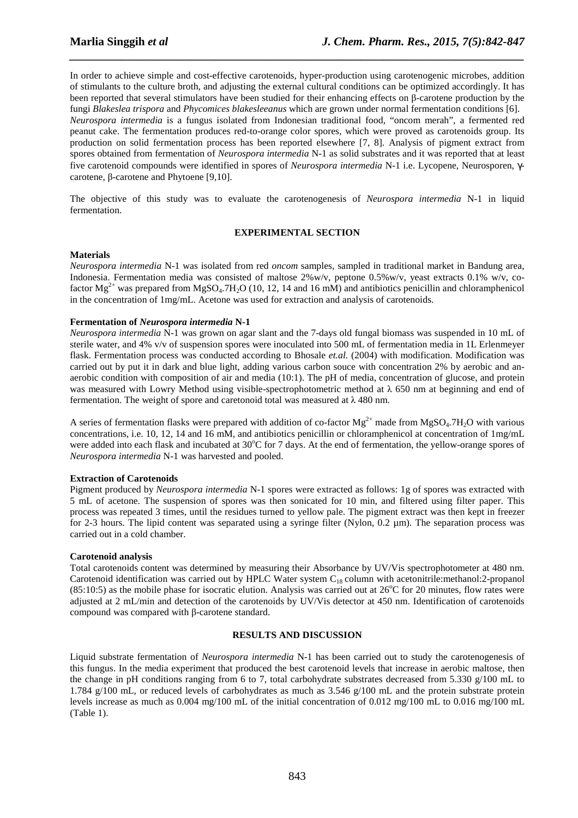In order to achieve simple and cost-effective carotenoids, hyper-production using carotenogenic microbes, addition of stimulants to the culture broth, and adjusting the external cultural conditions can be optimized accordingly. It has been reported that several stimulators have been studied for their enhancing effects on β-carotene production by the fungi *Blakeslea trispora* and *Phycomices blakesleeanus* which are grown under normal fermentation conditions [6]. *Neurospora intermedia* is a fungus isolated from Indonesian traditional food, "oncom merah", a fermented red peanut cake. The fermentation produces red-to-orange color spores, which were proved as carotenoids group. Its production on solid fermentation process has been reported elsewhere [7, 8]. Analysis of pigment extract from spores obtained from fermentation of *Neurospora intermedia* N-1 as solid substrates and it was reported that at least five carotenoid compounds were identified in spores of *Neurospora intermedia* N-1 i.e. Lycopene, Neurosporen, γcarotene, β-carotene and Phytoene [9,10].

*\_\_\_\_\_\_\_\_\_\_\_\_\_\_\_\_\_\_\_\_\_\_\_\_\_\_\_\_\_\_\_\_\_\_\_\_\_\_\_\_\_\_\_\_\_\_\_\_\_\_\_\_\_\_\_\_\_\_\_\_\_\_\_\_\_\_\_\_\_\_\_\_\_\_\_\_\_\_*

The objective of this study was to evaluate the carotenogenesis of *Neurospora intermedia* N-1 in liquid fermentation.

## **EXPERIMENTAL SECTION**

## **Materials**

*Neurospora intermedia* N-1 was isolated from red *oncom* samples, sampled in traditional market in Bandung area, Indonesia. Fermentation media was consisted of maltose 2%w/v, peptone 0.5%w/v, yeast extracts 0.1% w/v, cofactor  $Mg^{2+}$  was prepared from  $MgSO_4.7H_2O$  (10, 12, 14 and 16 mM) and antibiotics penicillin and chloramphenicol in the concentration of 1mg/mL. Acetone was used for extraction and analysis of carotenoids.

## **Fermentation of** *Neurospora intermedia* **N-1**

*Neurospora intermedia* N-1 was grown on agar slant and the 7-days old fungal biomass was suspended in 10 mL of sterile water, and 4% v/v of suspension spores were inoculated into 500 mL of fermentation media in 1L Erlenmeyer flask. Fermentation process was conducted according to Bhosale *et.al.* (2004) with modification. Modification was carried out by put it in dark and blue light, adding various carbon souce with concentration 2% by aerobic and anaerobic condition with composition of air and media (10:1). The pH of media, concentration of glucose, and protein was measured with Lowry Method using visible-spectrophotometric method at  $\lambda$  650 nm at beginning and end of fermentation. The weight of spore and caretonoid total was measured at  $\lambda$  480 nm.

A series of fermentation flasks were prepared with addition of co-factor  $\text{Me}^{2+}$  made from MgSO<sub>4</sub>.7H<sub>2</sub>O with various concentrations, i.e. 10, 12, 14 and 16 mM, and antibiotics penicillin or chloramphenicol at concentration of 1mg/mL were added into each flask and incubated at  $30^{\circ}$ C for 7 days. At the end of fermentation, the yellow-orange spores of *Neurospora intermedia* N-1 was harvested and pooled.

#### **Extraction of Carotenoids**

Pigment produced by *Neurospora intermedia* N-1 spores were extracted as follows: 1g of spores was extracted with 5 mL of acetone. The suspension of spores was then sonicated for 10 min, and filtered using filter paper. This process was repeated 3 times, until the residues turned to yellow pale. The pigment extract was then kept in freezer for 2-3 hours. The lipid content was separated using a syringe filter (Nylon, 0.2 µm). The separation process was carried out in a cold chamber.

#### **Carotenoid analysis**

Total carotenoids content was determined by measuring their Absorbance by UV/Vis spectrophotometer at 480 nm. Carotenoid identification was carried out by HPLC Water system C<sub>18</sub> column with acetonitrile:methanol:2-propanol (85:10:5) as the mobile phase for isocratic elution. Analysis was carried out at  $26^{\circ}$ C for 20 minutes, flow rates were adjusted at 2 mL/min and detection of the carotenoids by UV/Vis detector at 450 nm. Identification of carotenoids compound was compared with β-carotene standard.

#### **RESULTS AND DISCUSSION**

Liquid substrate fermentation of *Neurospora intermedia* N-1 has been carried out to study the carotenogenesis of this fungus. In the media experiment that produced the best carotenoid levels that increase in aerobic maltose, then the change in pH conditions ranging from 6 to 7, total carbohydrate substrates decreased from 5.330 g/100 mL to 1.784 g/100 mL, or reduced levels of carbohydrates as much as 3.546 g/100 mL and the protein substrate protein levels increase as much as 0.004 mg/100 mL of the initial concentration of 0.012 mg/100 mL to 0.016 mg/100 mL (Table 1).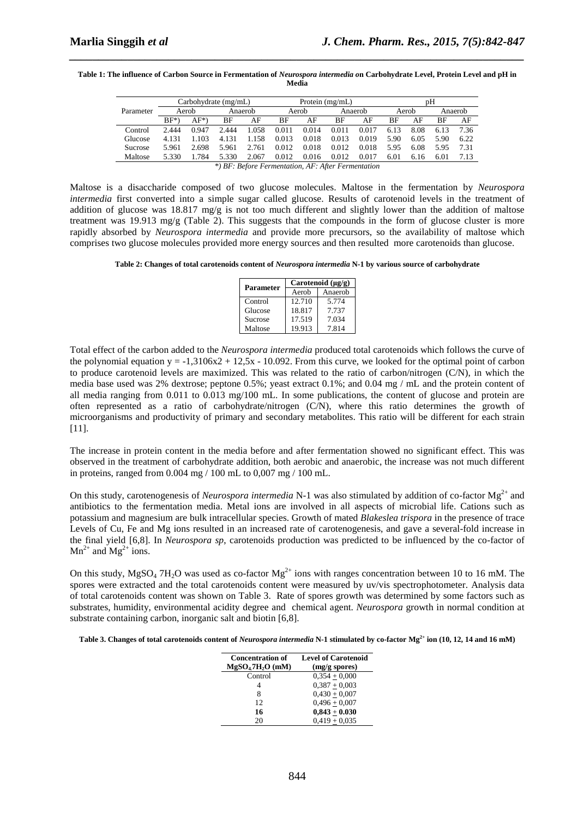| Table 1: The influence of Carbon Source in Fermentation of Neurospora intermedia on Carbohydrate Level, Protein Level and pH in |
|---------------------------------------------------------------------------------------------------------------------------------|
| Media                                                                                                                           |

*\_\_\_\_\_\_\_\_\_\_\_\_\_\_\_\_\_\_\_\_\_\_\_\_\_\_\_\_\_\_\_\_\_\_\_\_\_\_\_\_\_\_\_\_\_\_\_\_\_\_\_\_\_\_\_\_\_\_\_\_\_\_\_\_\_\_\_\_\_\_\_\_\_\_\_\_\_\_*

|                                                    | Carbohydrate $(mg/mL)$ |         |         |       | Protein $(mg/mL)$ |       |         |       | pΗ    |      |         |      |
|----------------------------------------------------|------------------------|---------|---------|-------|-------------------|-------|---------|-------|-------|------|---------|------|
| Parameter                                          | Aerob                  |         | Anaerob |       | Aerob             |       | Anaerob |       | Aerob |      | Anaerob |      |
|                                                    | $BF^*$                 | $AF^*)$ | ВF      | AF    | ВF                | AF    | BF      | AF    | ВF    | AF   | ВF      | AF   |
| Control                                            | 2.444                  | 0.947   | 2.444   | 1.058 | 0.011             | 0.014 | 0.011   | 0.017 | 6.13  | 8.08 | 6.13    | 7.36 |
| Glucose                                            | 4.131                  | 103     | 4.131   | 1.158 | 0.013             | 0.018 | 0.013   | 0.019 | 5.90  | 6.05 | 5.90    | 6.22 |
| <b>Sucrose</b>                                     | 5.961                  | 2.698   | 5.961   | 2.761 | 0.012             | 0.018 | 0.012   | 0.018 | 5.95  | 6.08 | 5.95    | 7.31 |
| Maltose                                            | 5.330                  | 1.784   | 5.330   | 2.067 | 0.012             | 0.016 | 0.012   | 0.017 | 6.01  | 6.16 | 6.01    | 7.13 |
| *) BF: Before Fermentation. AF: After Fermentation |                        |         |         |       |                   |       |         |       |       |      |         |      |

Maltose is a disaccharide composed of two glucose molecules. Maltose in the fermentation by *Neurospora intermedia* first converted into a simple sugar called glucose. Results of carotenoid levels in the treatment of addition of glucose was 18.817 mg/g is not too much different and slightly lower than the addition of maltose treatment was 19.913 mg/g (Table 2). This suggests that the compounds in the form of glucose cluster is more rapidly absorbed by *Neurospora intermedia* and provide more precursors, so the availability of maltose which comprises two glucose molecules provided more energy sources and then resulted more carotenoids than glucose.

**Table 2: Changes of total carotenoids content of** *Neurospora intermedia* **N-1 by various source of carbohydrate** 

| <b>Parameter</b> | Carotenoid $(\mu g/g)$ |         |  |  |  |  |
|------------------|------------------------|---------|--|--|--|--|
|                  | Aerob                  | Anaerob |  |  |  |  |
| Control          | 12.710                 | 5.774   |  |  |  |  |
| Glucose          | 18.817                 | 7.737   |  |  |  |  |
| Sucrose          | 17.519                 | 7.034   |  |  |  |  |
| Maltose          | 19.913                 | 7.814   |  |  |  |  |

Total effect of the carbon added to the *Neurospora intermedia* produced total carotenoids which follows the curve of the polynomial equation  $y = -1,3106x^2 + 12,5x - 10,092$ . From this curve, we looked for the optimal point of carbon to produce carotenoid levels are maximized. This was related to the ratio of carbon/nitrogen (C/N), in which the media base used was 2% dextrose; peptone 0.5%; yeast extract 0.1%; and 0.04 mg / mL and the protein content of all media ranging from 0.011 to 0.013 mg/100 mL. In some publications, the content of glucose and protein are often represented as a ratio of carbohydrate/nitrogen (C/N), where this ratio determines the growth of microorganisms and productivity of primary and secondary metabolites. This ratio will be different for each strain [11].

The increase in protein content in the media before and after fermentation showed no significant effect. This was observed in the treatment of carbohydrate addition, both aerobic and anaerobic, the increase was not much different in proteins, ranged from 0.004 mg / 100 mL to 0,007 mg / 100 mL.

On this study, carotenogenesis of *Neurospora intermedia* N-1 was also stimulated by addition of co-factor Mg<sup>2+</sup> and antibiotics to the fermentation media. Metal ions are involved in all aspects of microbial life. Cations such as potassium and magnesium are bulk intracellular species. Growth of mated *Blakeslea trispora* in the presence of trace Levels of Cu, Fe and Mg ions resulted in an increased rate of carotenogenesis, and gave a several-fold increase in the final yield [6,8]. In *Neurospora sp*, carotenoids production was predicted to be influenced by the co-factor of  $Mn^{2+}$  and  $Mg^{2+}$  ions.

On this study,  $MgSO_4$  7H<sub>2</sub>O was used as co-factor  $Mg^{2+}$  ions with ranges concentration between 10 to 16 mM. The spores were extracted and the total carotenoids content were measured by uv/vis spectrophotometer. Analysis data of total carotenoids content was shown on Table 3. Rate of spores growth was determined by some factors such as substrates, humidity, environmental acidity degree and chemical agent. *Neurospora* growth in normal condition at substrate containing carbon, inorganic salt and biotin [6,8].

**Table 3. Changes of total carotenoids content of** *Neurospora intermedia* **N-1 stimulated by co-factor Mg2+ ion (10, 12, 14 and 16 mM)** 

| <b>Concentration of</b><br>$MgSO47H2O$ (mM) | <b>Level of Carotenoid</b><br>$(mg/g$ spores) |
|---------------------------------------------|-----------------------------------------------|
| Control                                     | $0.354 + 0.000$                               |
| 4                                           | $0,387 + 0,003$                               |
| 8                                           | $0,430 + 0,007$                               |
| 12                                          | $0,496 + 0,007$                               |
| 16                                          | $0,843 + 0.030$                               |
| 20                                          | $0,419 + 0,035$                               |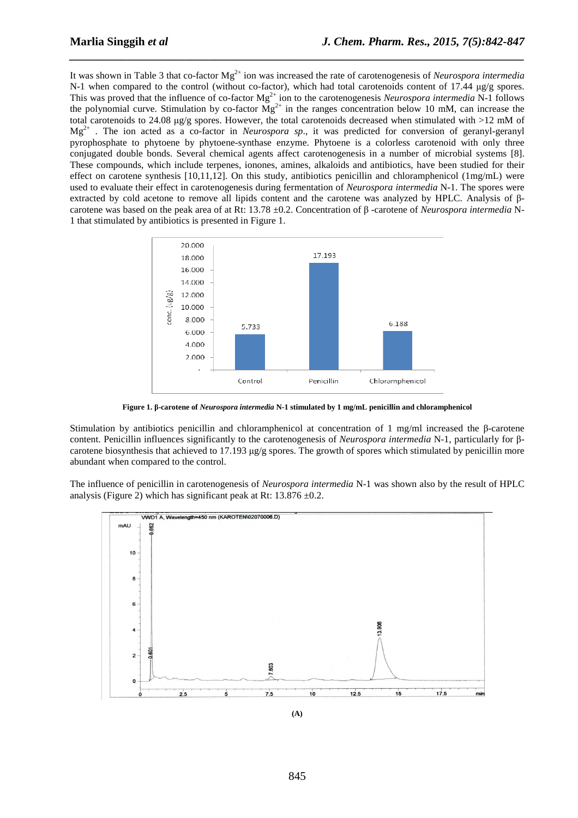It was shown in Table 3 that co-factor Mg<sup>2+</sup> ion was increased the rate of carotenogenesis of *Neurospora intermedia* N-1 when compared to the control (without co-factor), which had total carotenoids content of 17.44  $\mu$ g/g spores. This was proved that the influence of co-factor  $Mg^{2+}$  ion to the carotenogenesis *Neurospora intermedia* N-1 follows the polynomial curve. Stimulation by co-factor  $Mg^{2+}$  in the ranges concentration below 10 mM, can increase the total carotenoids to 24.08  $\mu$ g/g spores. However, the total carotenoids decreased when stimulated with >12 mM of Mg2+ . The ion acted as a co-factor in *Neurospora sp*., it was predicted for conversion of geranyl-geranyl pyrophosphate to phytoene by phytoene-synthase enzyme. Phytoene is a colorless carotenoid with only three conjugated double bonds. Several chemical agents affect carotenogenesis in a number of microbial systems [8]. These compounds, which include terpenes, ionones, amines, alkaloids and antibiotics, have been studied for their effect on carotene synthesis [10,11,12]. On this study, antibiotics penicillin and chloramphenicol (1mg/mL) were used to evaluate their effect in carotenogenesis during fermentation of *Neurospora intermedia* N-1. The spores were extracted by cold acetone to remove all lipids content and the carotene was analyzed by HPLC. Analysis of βcarotene was based on the peak area of at Rt: 13.78 ±0.2. Concentration of β -carotene of *Neurospora intermedia* N-1 that stimulated by antibiotics is presented in Figure 1.

*\_\_\_\_\_\_\_\_\_\_\_\_\_\_\_\_\_\_\_\_\_\_\_\_\_\_\_\_\_\_\_\_\_\_\_\_\_\_\_\_\_\_\_\_\_\_\_\_\_\_\_\_\_\_\_\_\_\_\_\_\_\_\_\_\_\_\_\_\_\_\_\_\_\_\_\_\_\_*



**Figure 1. β-carotene of** *Neurospora intermedia* **N-1 stimulated by 1 mg/mL penicillin and chloramphenicol** 

Stimulation by antibiotics penicillin and chloramphenicol at concentration of 1 mg/ml increased the β-carotene content. Penicillin influences significantly to the carotenogenesis of *Neurospora intermedia* N-1, particularly for βcarotene biosynthesis that achieved to 17.193  $\mu$ g/g spores. The growth of spores which stimulated by penicillin more abundant when compared to the control.

The influence of penicillin in carotenogenesis of *Neurospora intermedia* N-1 was shown also by the result of HPLC analysis (Figure 2) which has significant peak at Rt:  $13.876 \pm 0.2$ .



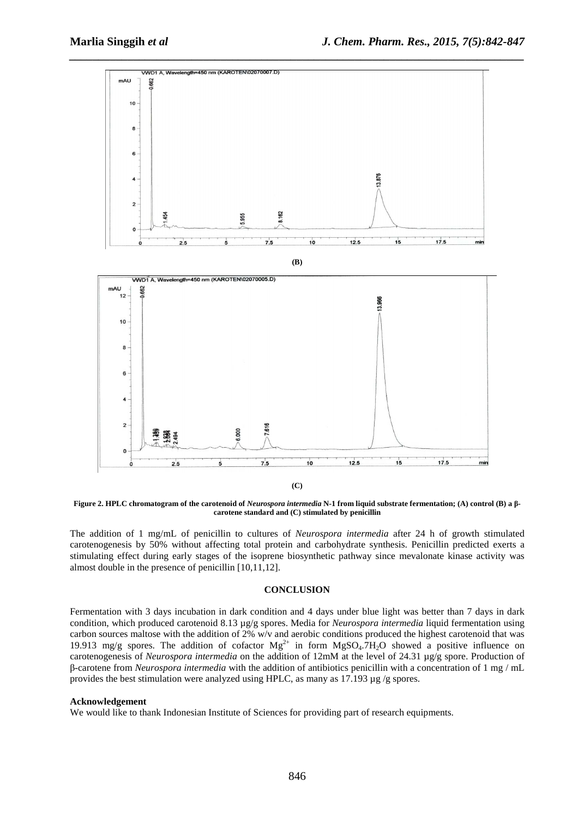

**Figure 2. HPLC chromatogram of the carotenoid of** *Neurospora intermedia* **N-1 from liquid substrate fermentation; (A) control (B) a βcarotene standard and (C) stimulated by penicillin** 

The addition of 1 mg/mL of penicillin to cultures of *Neurospora intermedia* after 24 h of growth stimulated carotenogenesis by 50% without affecting total protein and carbohydrate synthesis. Penicillin predicted exerts a stimulating effect during early stages of the isoprene biosynthetic pathway since mevalonate kinase activity was almost double in the presence of penicillin [10,11,12].

## **CONCLUSION**

Fermentation with 3 days incubation in dark condition and 4 days under blue light was better than 7 days in dark condition, which produced carotenoid 8.13 µg/g spores. Media for *Neurospora intermedia* liquid fermentation using carbon sources maltose with the addition of 2% w/v and aerobic conditions produced the highest carotenoid that was 19.913 mg/g spores. The addition of cofactor  $Mg^{2+}$  in form  $MgSO<sub>4</sub>$ .7H<sub>2</sub>O showed a positive influence on carotenogenesis of *Neurospora intermedia* on the addition of 12mM at the level of 24.31 µg/g spore. Production of β-carotene from *Neurospora intermedia* with the addition of antibiotics penicillin with a concentration of 1 mg / mL provides the best stimulation were analyzed using HPLC, as many as 17.193  $\mu$ g /g spores.

#### **Acknowledgement**

We would like to thank Indonesian Institute of Sciences for providing part of research equipments.